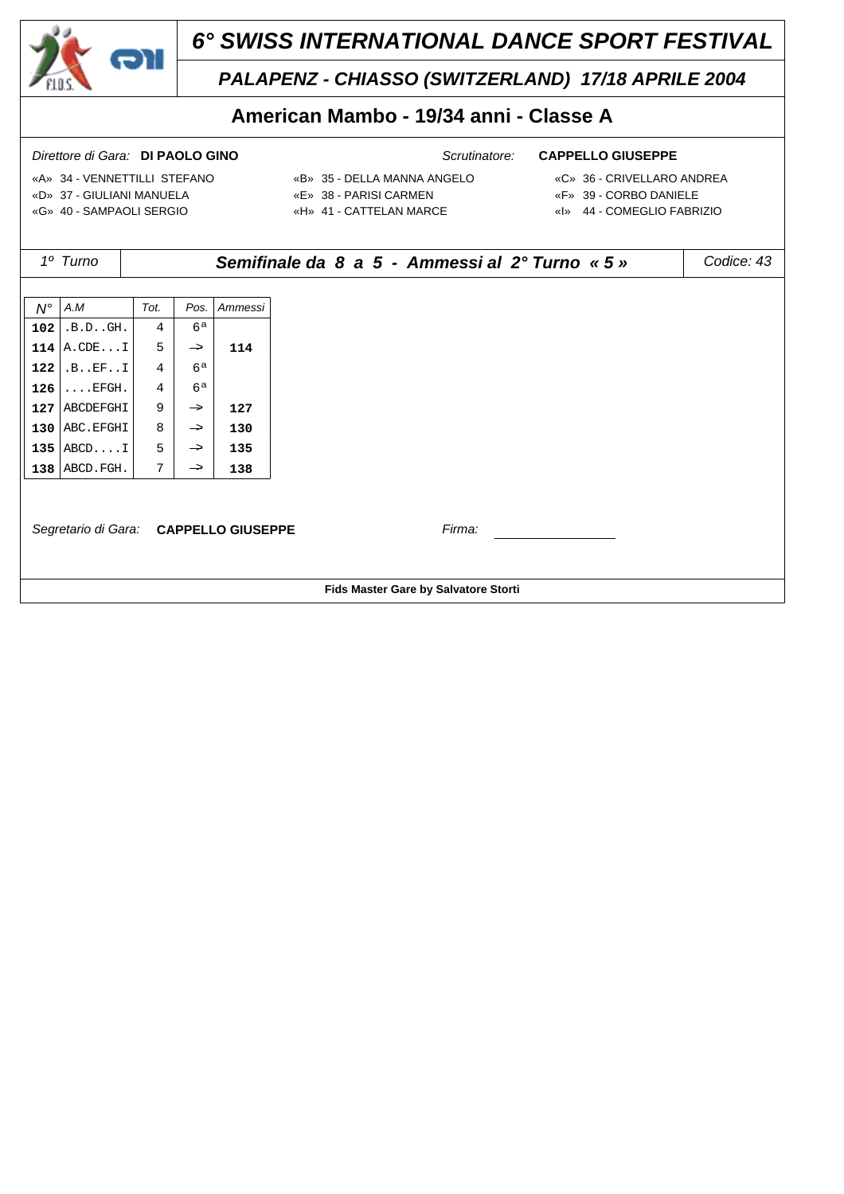

# *PALAPENZ - CHIASSO (SWITZERLAND) 17/18 APRILE 2004*

# **American Mambo - 19/34 anni - Classe A**

- «A» 34 VENNETTILLI STEFANO «B» 35 DELLA MANNA ANGELO «C» 36 CRIVELLARO ANDREA «D» 37 - GIULIANI MANUELA «E» 38 - PARISI CARMEN «F» 39 - CORBO DANIELE «G» 40 - SAMPAOLI SERGIO «H» 41 - CATTELAN MARCE «I» 44 - COMEGLIO FABRIZIO
- -
	-

|                                       | 1º Turno                             | Codice: 43<br>Semifinale da 8 a 5 - Ammessi al 2º Turno « 5 » |                |         |  |  |  |  |  |
|---------------------------------------|--------------------------------------|---------------------------------------------------------------|----------------|---------|--|--|--|--|--|
|                                       |                                      |                                                               |                |         |  |  |  |  |  |
| $N^{\circ}$                           | A.M                                  | Tot.                                                          | Pos.           | Ammessi |  |  |  |  |  |
| 102                                   | .B.DGH.                              | 4                                                             | 6a             |         |  |  |  |  |  |
| 114                                   | A.CDEI                               | 5                                                             | $\rightarrow$  | 114     |  |  |  |  |  |
| 122                                   | .B. . EF. . I                        | $\overline{4}$                                                | 6a             |         |  |  |  |  |  |
| 126                                   | $\ldots$ EFGH.                       | $\overline{4}$                                                | 6 <sup>a</sup> |         |  |  |  |  |  |
| 127                                   | ABCDEFGHI                            | 9                                                             | $\rightarrow$  | 127     |  |  |  |  |  |
| 130                                   | ABC. EFGHI                           | 8                                                             | $\rightarrow$  | 130     |  |  |  |  |  |
| 135                                   | ABCDI                                | 5                                                             | $\rightarrow$  | 135     |  |  |  |  |  |
|                                       | $138$ ABCD. FGH.                     | 7                                                             | $\rightarrow$  | 138     |  |  |  |  |  |
|                                       |                                      |                                                               |                |         |  |  |  |  |  |
| Firma:                                |                                      |                                                               |                |         |  |  |  |  |  |
| Segretario di Gara: CAPPELLO GIUSEPPE |                                      |                                                               |                |         |  |  |  |  |  |
|                                       |                                      |                                                               |                |         |  |  |  |  |  |
|                                       | Fids Master Gare by Salvatore Storti |                                                               |                |         |  |  |  |  |  |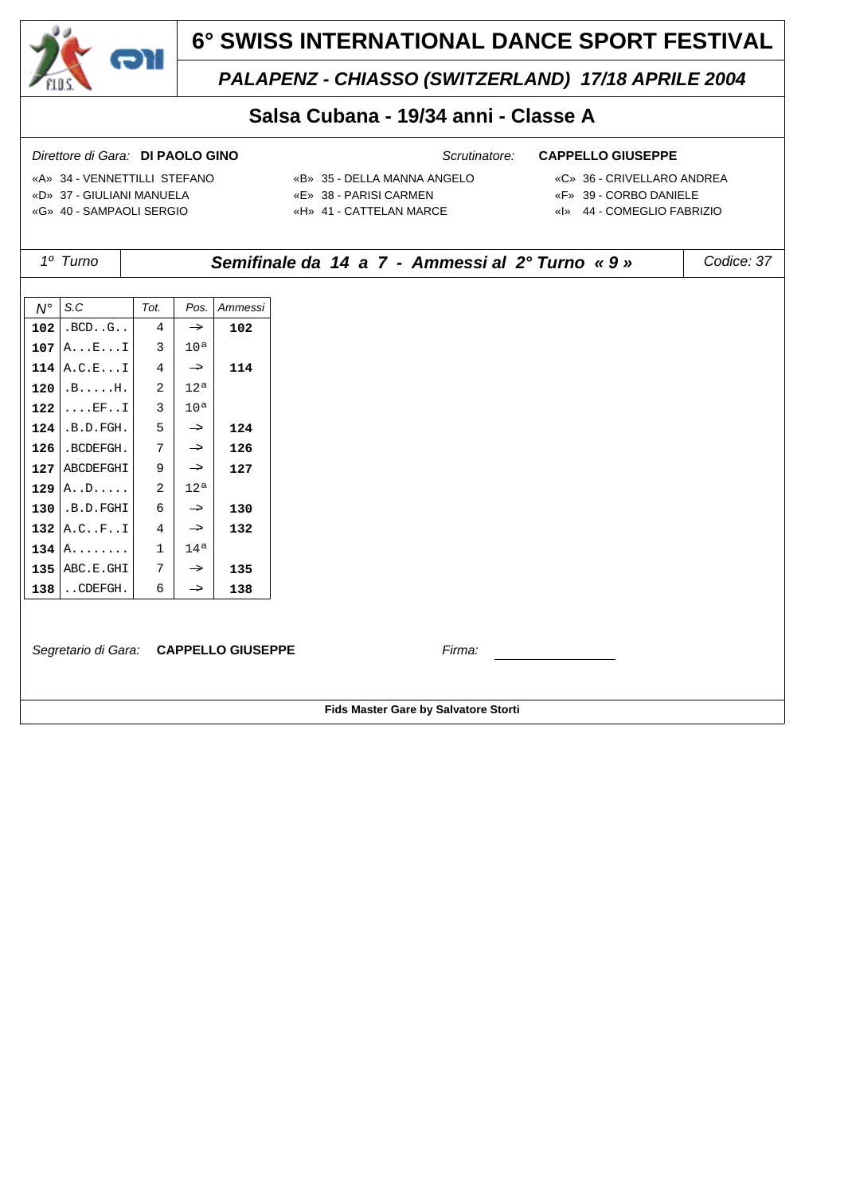

# *PALAPENZ - CHIASSO (SWITZERLAND) 17/18 APRILE 2004*

### **Salsa Cubana - 19/34 anni - Classe A**

- 
- «A» 34 VENNETTILLI STEFANO «B» 35 DELLA MANNA ANGELO «C» 36 CRIVELLARO ANDREA «D» 37 - GIULIANI MANUELA «E» 38 - PARISI CARMEN «F» 39 - CORBO DANIELE «G» 40 - SAMPAOLI SERGIO «H» 41 - CATTELAN MARCE «I» 44 - COMEGLIO FABRIZIO
- -
	-
- *1º Turno Semifinale da 14 a 7 Ammessi al 2° Turno « 9 » Codice: 37 N° S.C Tot. Pos. Ammessi*  $102$  .BCD..G.. 4  $\rightarrow$  102 **107**  $A \dots E \dots I$  3 10<sup>a</sup>  $114$  A.C.E...I  $4$   $\rightarrow$  114 **120**  $| B$ .....H.  $| 2 | 12^a$ **122** .... $EF$ ... $1 \mid 3 \mid 10^{a}$  $124$  .B.D.FGH.  $5$   $\rightarrow$  124  $126$ .BCDEFGH.  $7$   $\rightarrow$  126 **127** ABCDEFGHI  $9 \rightarrow 127$  **129** A..D..... 2 12ª  $130$  .B.D.FGHI 6  $\rightarrow$  130 **132** A.C..F..I  $4 \rightarrow 132$ **134**  $A$ ........ 1 14<sup>a</sup> **135** ABC.E.GHI  $7$   $\rightarrow$  **135 138** ..CDEFGH.  $6 \rightarrow 138$ *Segretario di Gara:* **CAPPELLO GIUSEPPE** *Firma:* **Fids Master Gare by Salvatore Storti**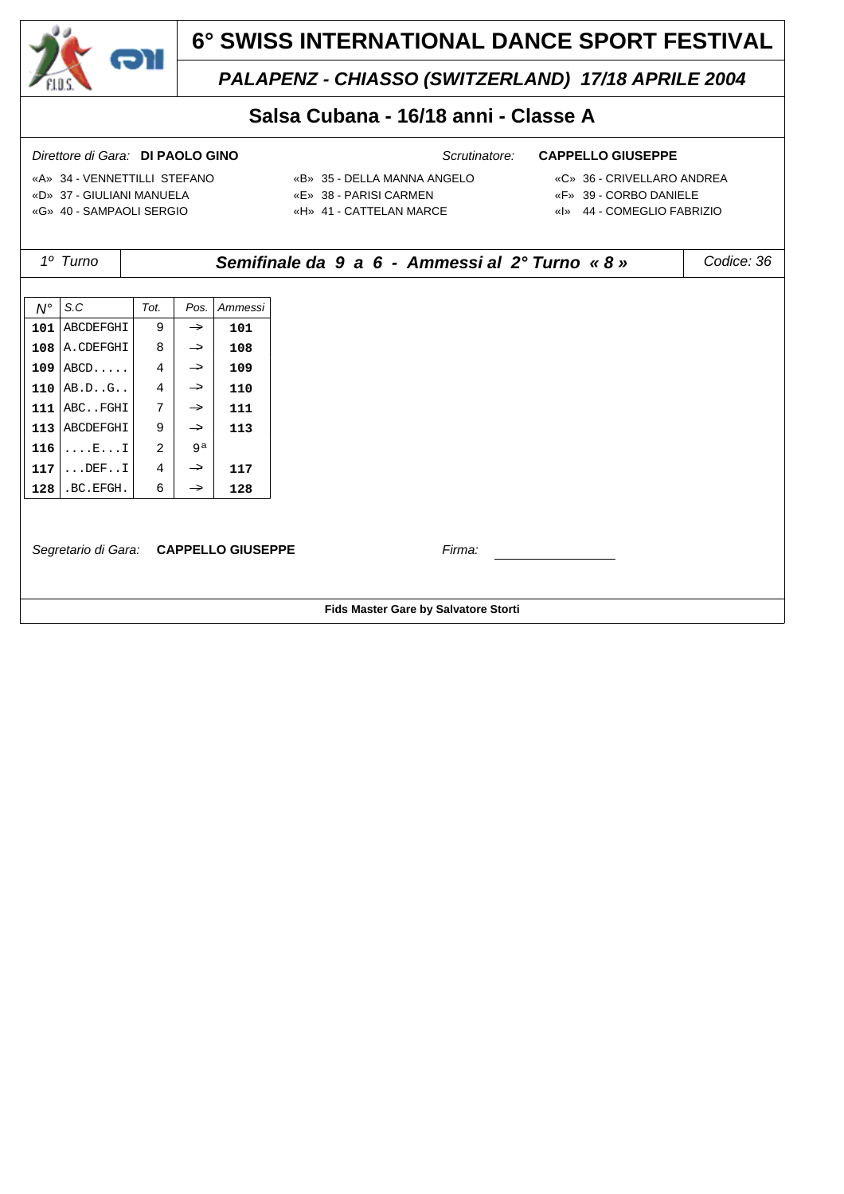

*PALAPENZ - CHIASSO (SWITZERLAND) 17/18 APRILE 2004*

## **Salsa Cubana - 16/18 anni - Classe A**

- «A» 34 VENNETTILLI STEFANO «B» 35 DELLA MANNA ANGELO «C» 36 CRIVELLARO ANDREA «D» 37 - GIULIANI MANUELA «E» 38 - PARISI CARMEN «F» 39 - CORBO DANIELE «G» 40 - SAMPAOLI SERGIO «H» 41 - CATTELAN MARCE «I» 44 - COMEGLIO FABRIZIO
- -
	-

|             | 1º Turno                              |                |               |         | Semifinale da 9 a 6 - Ammessi al 2º Turno « 8 » | Codice: 36 |  |  |
|-------------|---------------------------------------|----------------|---------------|---------|-------------------------------------------------|------------|--|--|
|             |                                       |                |               |         |                                                 |            |  |  |
| $N^{\circ}$ | S.C                                   | Tot.           | Pos.          | Ammessi |                                                 |            |  |  |
|             | 101 ABCDEFGHI                         | 9              | $\rightarrow$ | 101     |                                                 |            |  |  |
|             | $108$ A. CDEFGHI                      | 8              | $\rightarrow$ | 108     |                                                 |            |  |  |
|             | $109$ $ABCD$                          | $\overline{4}$ | $\rightarrow$ | 109     |                                                 |            |  |  |
|             | 110 $AB.DG.$                          | $\overline{4}$ | $\rightarrow$ | 110     |                                                 |            |  |  |
|             | $111$ $ABC$ . FGHI                    | 7              | $\rightarrow$ | 111     |                                                 |            |  |  |
|             | 113 ABCDEFGHI                         | 9              | $\rightarrow$ | 113     |                                                 |            |  |  |
| 116         | $\ldots$ $E \ldots I$                 | 2              | 9a            |         |                                                 |            |  |  |
| 117         | $\ldots$ DEFI                         | 4              | $\rightarrow$ | 117     |                                                 |            |  |  |
| 128         | .BC.EFGH.                             | 6              | $\rightarrow$ | 128     |                                                 |            |  |  |
|             | Segretario di Gara: CAPPELLO GIUSEPPE |                |               |         | Firma:                                          |            |  |  |
|             |                                       |                |               |         |                                                 |            |  |  |
|             | Fids Master Gare by Salvatore Storti  |                |               |         |                                                 |            |  |  |
|             |                                       |                |               |         |                                                 |            |  |  |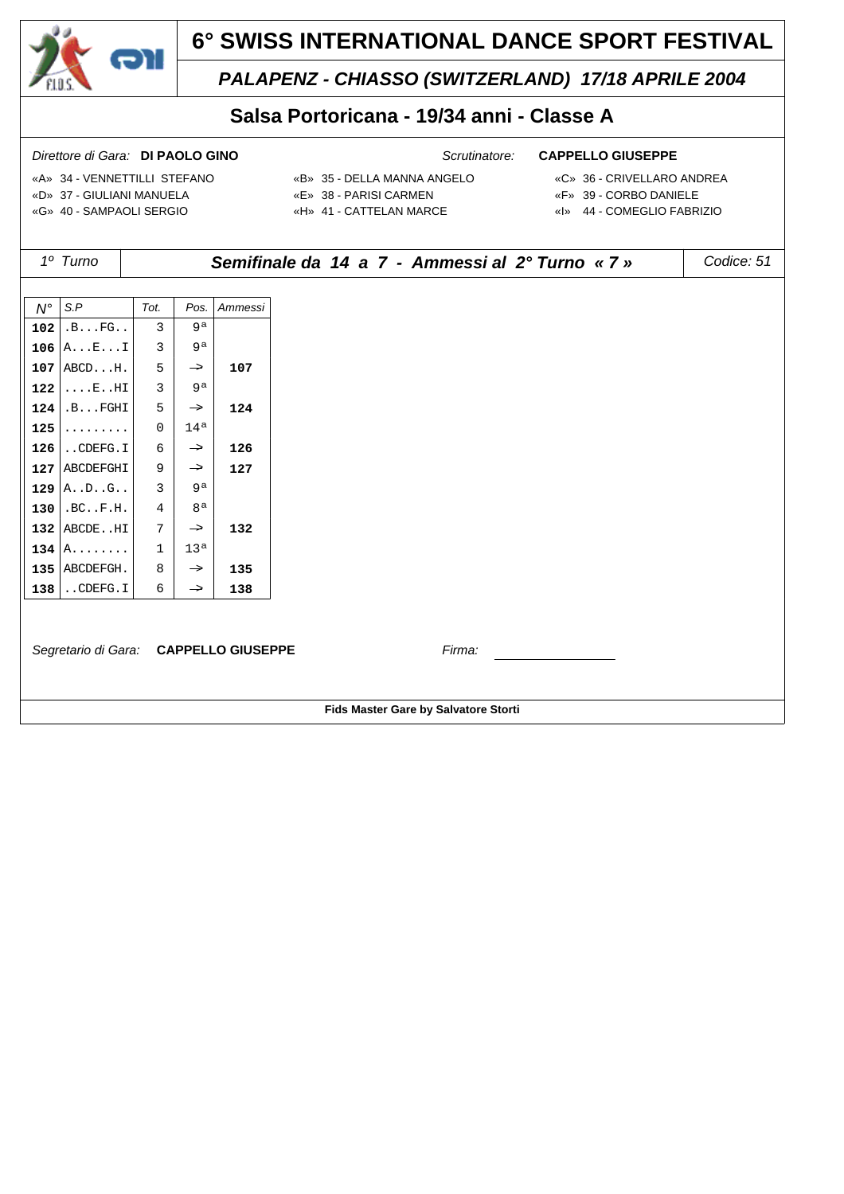

## *PALAPENZ - CHIASSO (SWITZERLAND) 17/18 APRILE 2004*

## **Salsa Portoricana - 19/34 anni - Classe A**

- 
- «A» 34 VENNETTILLI STEFANO «B» 35 DELLA MANNA ANGELO «C» 36 CRIVELLARO ANDREA «D» 37 - GIULIANI MANUELA «E» 38 - PARISI CARMEN «F» 39 - CORBO DANIELE «G» 40 - SAMPAOLI SERGIO «H» 41 - CATTELAN MARCE «I» 44 - COMEGLIO FABRIZIO
- -
	-
- *1º Turno Semifinale da 14 a 7 Ammessi al 2° Turno « 7 » Codice: 51 N° S.P Tot. Pos. Ammessi* **102**  $| .B...FG... | 3 | 9^a$ **106**  $A \dots E \dots I$  3 9<sup>a</sup>  $107$  ABCD...H.  $5$   $\rightarrow$  107 **122** ....E..HI 3 3  $9^a$  $124$  .B...FGHI 5  $\rightarrow$  124 **125**  $\begin{bmatrix} . & . & . & . & . & . \\ . & . & . & . & . \end{bmatrix}$  0 14<sup>a</sup>  $126$ .CDEFG.I 6  $\rightarrow$  126 **127** ABCDEFGHI 9  $\rightarrow$  **127 129**  $\begin{vmatrix} A & B & B & B \\ C & D & B & C \\ D & D & D & D \end{vmatrix}$  9<sup>a</sup> **130** .BC..F.H.  $4 | 8^a$ **132** ABCDE..HI  $7$   $\rightarrow$  **132 134**  $\left| A_1, \ldots, A_n \right|$  1 13<sup>a</sup> **135** ABCDEFGH.  $8 \rightarrow 135$  $138$  . CDEFG. I 6  $\rightarrow$  138 *Segretario di Gara:* **CAPPELLO GIUSEPPE** *Firma:* **Fids Master Gare by Salvatore Storti**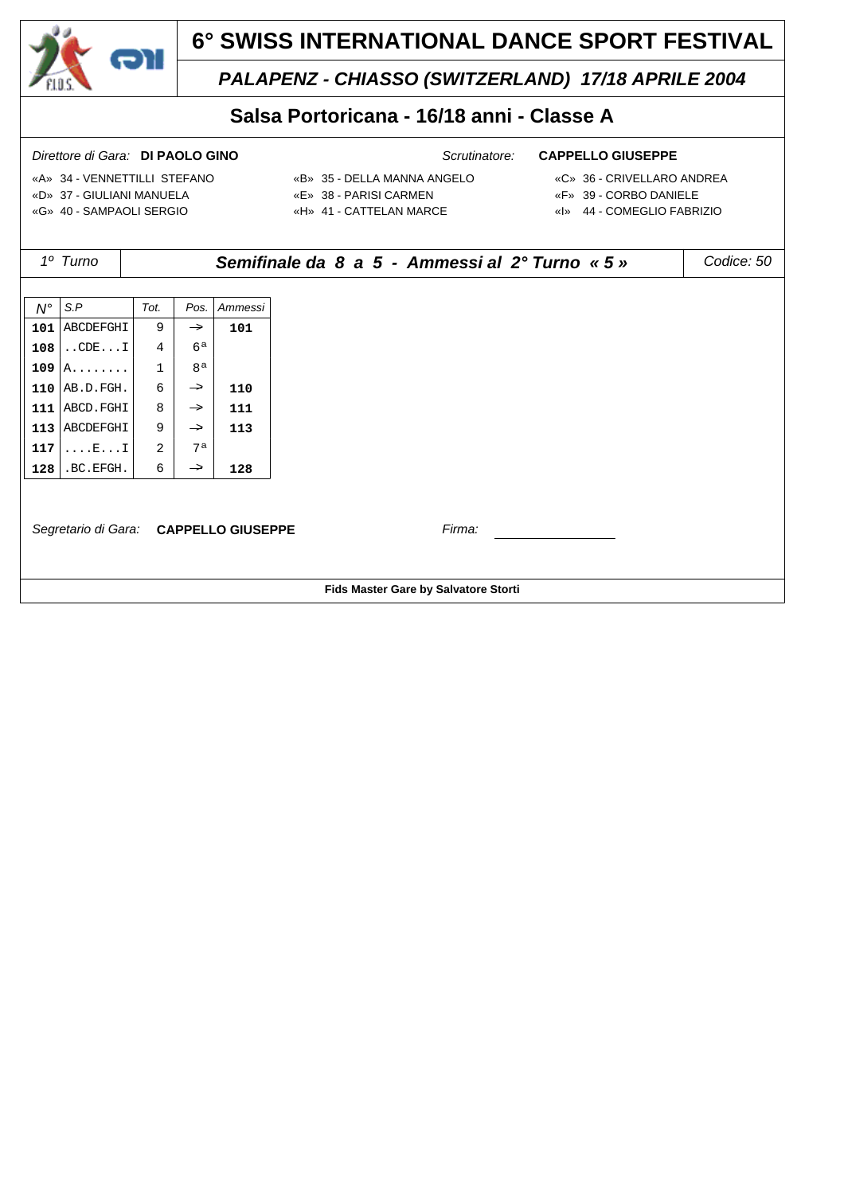

# *PALAPENZ - CHIASSO (SWITZERLAND) 17/18 APRILE 2004*

## **Salsa Portoricana - 16/18 anni - Classe A**

- «A» 34 VENNETTILLI STEFANO «B» 35 DELLA MANNA ANGELO «C» 36 CRIVELLARO ANDREA «D» 37 - GIULIANI MANUELA «E» 38 - PARISI CARMEN «F» 39 - CORBO DANIELE «G» 40 - SAMPAOLI SERGIO «H» 41 - CATTELAN MARCE «I» 44 - COMEGLIO FABRIZIO
- -
	-

|             | 1º Turno                              |                |                |         | Semifinale da 8 a 5 - Ammessi al 2º Turno « 5 » | Codice: 50 |  |  |  |  |
|-------------|---------------------------------------|----------------|----------------|---------|-------------------------------------------------|------------|--|--|--|--|
|             |                                       |                |                |         |                                                 |            |  |  |  |  |
| $N^{\circ}$ | S.P                                   | Tot.           | Pos.           | Ammessi |                                                 |            |  |  |  |  |
| 101         | ABCDEFGHI                             | 9              | $\rightarrow$  | 101     |                                                 |            |  |  |  |  |
| 108         | $\ldots$ CDE $\ldots$ I               | $\overline{4}$ | 6a             |         |                                                 |            |  |  |  |  |
| 109         | $A \ldots \ldots$                     | $\mathbf{1}$   | 8 <sup>a</sup> |         |                                                 |            |  |  |  |  |
| 110         | AB.D.FGH.                             | 6              | $\rightarrow$  | 110     |                                                 |            |  |  |  |  |
| 111         | ABCD.FGHI                             | 8              | $\rightarrow$  | 111     |                                                 |            |  |  |  |  |
| 113         | ABCDEFGHI                             | 9              | $\rightarrow$  | 113     |                                                 |            |  |  |  |  |
| 117         | $\ldots$ $E \ldots I$                 | $\overline{2}$ | 7a             |         |                                                 |            |  |  |  |  |
| 128         | .BC.EFGH.                             | 6              | $\rightarrow$  | 128     |                                                 |            |  |  |  |  |
|             |                                       |                |                |         |                                                 |            |  |  |  |  |
|             |                                       |                |                |         |                                                 |            |  |  |  |  |
|             | Segretario di Gara: CAPPELLO GIUSEPPE |                |                |         | Firma:                                          |            |  |  |  |  |
|             |                                       |                |                |         |                                                 |            |  |  |  |  |
|             |                                       |                |                |         |                                                 |            |  |  |  |  |
|             | Fids Master Gare by Salvatore Storti  |                |                |         |                                                 |            |  |  |  |  |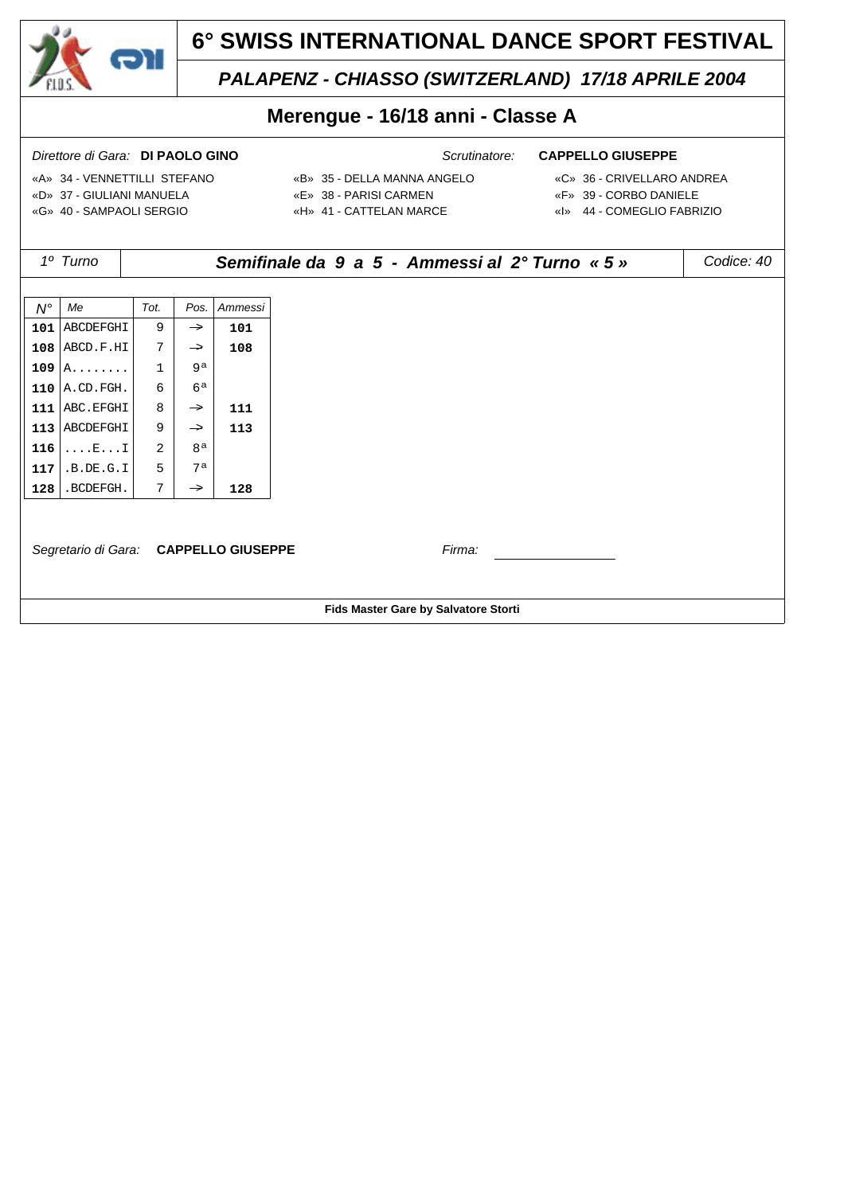

## *PALAPENZ - CHIASSO (SWITZERLAND) 17/18 APRILE 2004*

## **Merengue - 16/18 anni - Classe A**

- 
- «A» 34 VENNETTILLI STEFANO «B» 35 DELLA MANNA ANGELO «C» 36 CRIVELLARO ANDREA «D» 37 - GIULIANI MANUELA «E» 38 - PARISI CARMEN «F» 39 - CORBO DANIELE «G» 40 - SAMPAOLI SERGIO «H» 41 - CATTELAN MARCE «I» 44 - COMEGLIO FABRIZIO
- -
	-
- *1º Turno Semifinale da 9 a 5 Ammessi al 2° Turno « 5 » Codice: 40 N° Me Tot. Pos. Ammessi*  $101$  ABCDEFGHI 9  $\rightarrow$  101  $108$  ABCD.F.HI  $7$   $\rightarrow$  108 **109** A........ 1 9<sup>a</sup> **110**  $|$ A.CD.FGH. 6 6 6<sup>a</sup> **111** ABC.EFGHI  $\begin{array}{|c|c|c|c|c|c|c|c|c|} \hline \end{array}$  8  $\begin{array}{|c|c|c|c|c|c|c|c|} \hline \end{array}$  111 **113** ABCDEFGHI 9  $\rightarrow$  113 **116** ....E....I 2 8<sup>a</sup> **117** .B.DE.G.I 5 7<sup>a</sup>  $128$  .BCDEFGH.  $7$   $\rightarrow$  128 *Segretario di Gara:* **CAPPELLO GIUSEPPE** *Firma:* **Fids Master Gare by Salvatore Storti**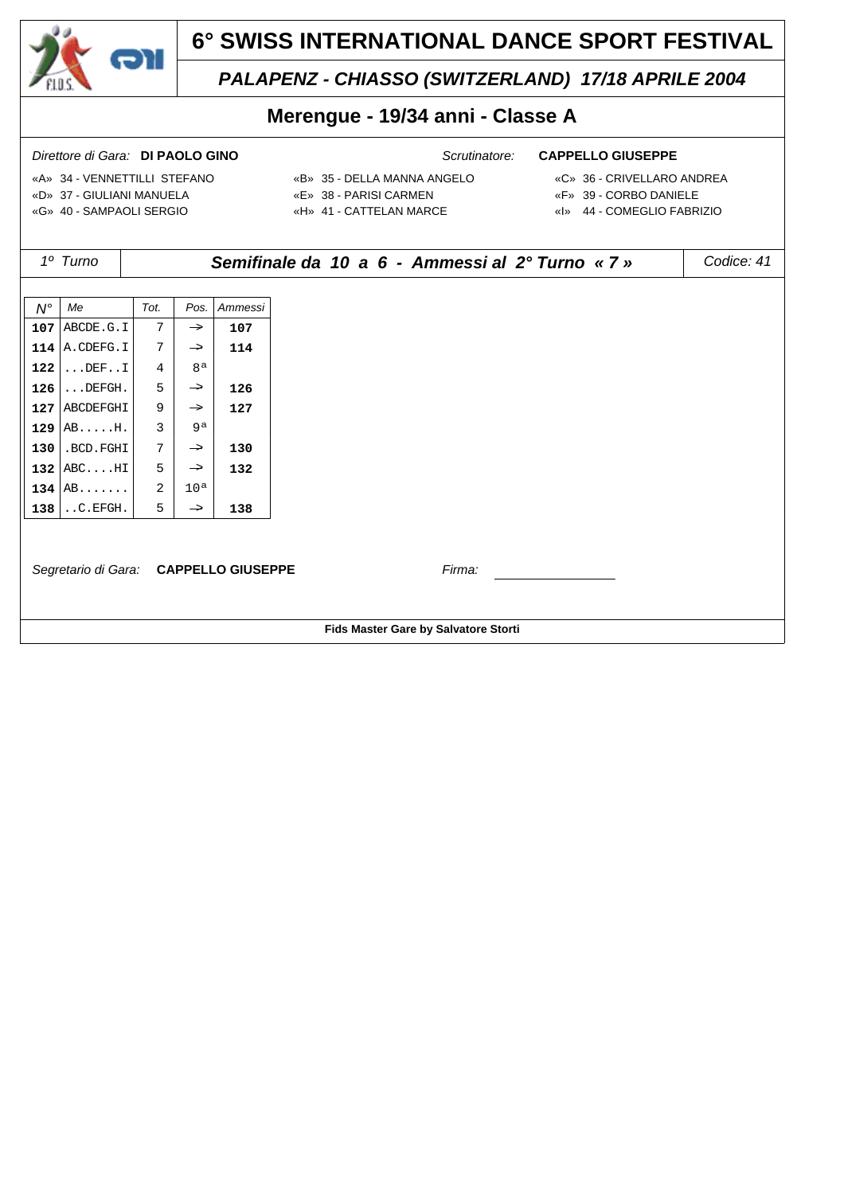

## *PALAPENZ - CHIASSO (SWITZERLAND) 17/18 APRILE 2004*

## **Merengue - 19/34 anni - Classe A**

- 
- «A» 34 VENNETTILLI STEFANO «B» 35 DELLA MANNA ANGELO «C» 36 CRIVELLARO ANDREA «D» 37 - GIULIANI MANUELA «E» 38 - PARISI CARMEN «F» 39 - CORBO DANIELE «G» 40 - SAMPAOLI SERGIO «H» 41 - CATTELAN MARCE «I» 44 - COMEGLIO FABRIZIO
- -
	-
- *1º Turno Semifinale da 10 a 6 Ammessi al 2° Turno « 7 » Codice: 41 N° Me Tot. Pos. Ammessi*  $107$  ABCDE.G.I  $7$   $\rightarrow$  107 **114** A.CDEFG.I  $7 \rightarrow 114$ **122** ... DEF...  $1 \mid 4 \mid 8^a$  $126$  ...DEFGH.  $5 \rightarrow 126$ **127** ABCDEFGHI  $\begin{array}{|c|c|c|c|c|c|c|c|c|} \hline \end{array}$  **127 129** AB.....H.  $3 \mid 9^a$  $130$  .BCD.FGHI  $7$   $\rightarrow$  130 **132** ABC....HI 5  $\rightarrow$  **132 134**  $AB$ ....... 2 10<sup>a</sup>  $138$  ..C.EFGH.  $5 \rightarrow 138$ *Segretario di Gara:* **CAPPELLO GIUSEPPE** *Firma:* **Fids Master Gare by Salvatore Storti**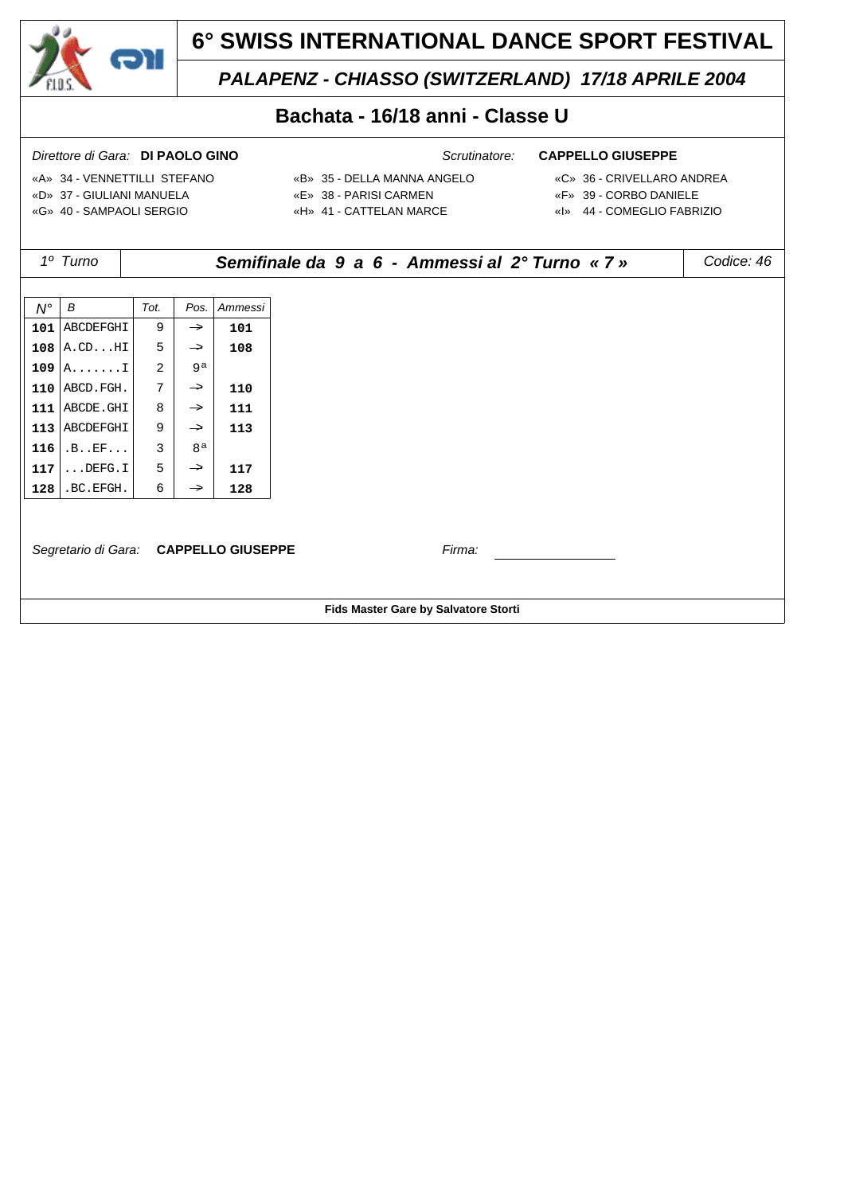

*PALAPENZ - CHIASSO (SWITZERLAND) 17/18 APRILE 2004*

## **Bachata - 16/18 anni - Classe U**

- 
- «A» 34 VENNETTILLI STEFANO «B» 35 DELLA MANNA ANGELO «C» 36 CRIVELLARO ANDREA «D» 37 - GIULIANI MANUELA «E» 38 - PARISI CARMEN «F» 39 - CORBO DANIELE «G» 40 - SAMPAOLI SERGIO «H» 41 - CATTELAN MARCE «I» 44 - COMEGLIO FABRIZIO
- -
	-
- *1º Turno Semifinale da 9 a 6 Ammessi al 2° Turno « 7 » Codice: 46 N° B Tot. Pos. Ammessi*  $101$  ABCDEFGHI 9  $\rightarrow$  101  $108$  A.CD...HI 5  $\rightarrow$  108 **109**  $A$ ....... $I \begin{bmatrix} 2 \end{bmatrix}$  9<sup>a</sup> **110** ABCD. FGH.  $7$   $\rightarrow$  **110 111** ABCDE.GHI  $\begin{array}{|c|c|c|c|c|c|c|c|c|} \hline \end{array}$  8  $\begin{array}{|c|c|c|c|c|c|c|c|} \hline \end{array}$  111 **113** ABCDEFGHI 9  $\rightarrow$  113 **116** .B..EF... 3 8<sup>a</sup>  $117$  ...DEFG.I 5  $\rightarrow$  117  $128$  .BC.EFGH. 6  $\rightarrow$  128 *Segretario di Gara:* **CAPPELLO GIUSEPPE** *Firma:* **Fids Master Gare by Salvatore Storti**